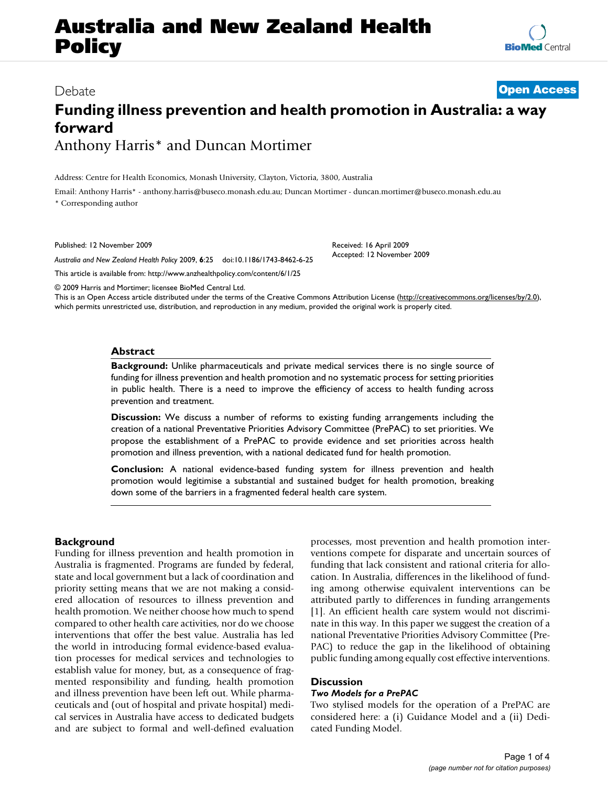# **Australia and New Zealand Health Policy**

### Debate **[Open Access](http://www.biomedcentral.com/info/about/charter/)**

## **Funding illness prevention and health promotion in Australia: a way forward** Anthony Harris\* and Duncan Mortimer

Address: Centre for Health Economics, Monash University, Clayton, Victoria, 3800, Australia

Email: Anthony Harris\* - anthony.harris@buseco.monash.edu.au; Duncan Mortimer - duncan.mortimer@buseco.monash.edu.au \* Corresponding author

Published: 12 November 2009

*Australia and New Zealand Health Policy* 2009, **6**:25 doi:10.1186/1743-8462-6-25

[This article is available from: http://www.anzhealthpolicy.com/content/6/1/25](http://www.anzhealthpolicy.com/content/6/1/25)

© 2009 Harris and Mortimer; licensee BioMed Central Ltd.

This is an Open Access article distributed under the terms of the Creative Commons Attribution License [\(http://creativecommons.org/licenses/by/2.0\)](http://creativecommons.org/licenses/by/2.0), which permits unrestricted use, distribution, and reproduction in any medium, provided the original work is properly cited.

Received: 16 April 2009 Accepted: 12 November 2009

#### **Abstract**

**Background:** Unlike pharmaceuticals and private medical services there is no single source of funding for illness prevention and health promotion and no systematic process for setting priorities in public health. There is a need to improve the efficiency of access to health funding across prevention and treatment.

**Discussion:** We discuss a number of reforms to existing funding arrangements including the creation of a national Preventative Priorities Advisory Committee (PrePAC) to set priorities. We propose the establishment of a PrePAC to provide evidence and set priorities across health promotion and illness prevention, with a national dedicated fund for health promotion.

**Conclusion:** A national evidence-based funding system for illness prevention and health promotion would legitimise a substantial and sustained budget for health promotion, breaking down some of the barriers in a fragmented federal health care system.

#### **Background**

Funding for illness prevention and health promotion in Australia is fragmented. Programs are funded by federal, state and local government but a lack of coordination and priority setting means that we are not making a considered allocation of resources to illness prevention and health promotion. We neither choose how much to spend compared to other health care activities, nor do we choose interventions that offer the best value. Australia has led the world in introducing formal evidence-based evaluation processes for medical services and technologies to establish value for money, but, as a consequence of fragmented responsibility and funding, health promotion and illness prevention have been left out. While pharmaceuticals and (out of hospital and private hospital) medical services in Australia have access to dedicated budgets and are subject to formal and well-defined evaluation processes, most prevention and health promotion interventions compete for disparate and uncertain sources of funding that lack consistent and rational criteria for allocation. In Australia, differences in the likelihood of funding among otherwise equivalent interventions can be attributed partly to differences in funding arrangements [1]. An efficient health care system would not discriminate in this way. In this paper we suggest the creation of a national Preventative Priorities Advisory Committee (Pre-PAC) to reduce the gap in the likelihood of obtaining public funding among equally cost effective interventions.

#### **Discussion**

#### *Two Models for a PrePAC*

Two stylised models for the operation of a PrePAC are considered here: a (i) Guidance Model and a (ii) Dedicated Funding Model.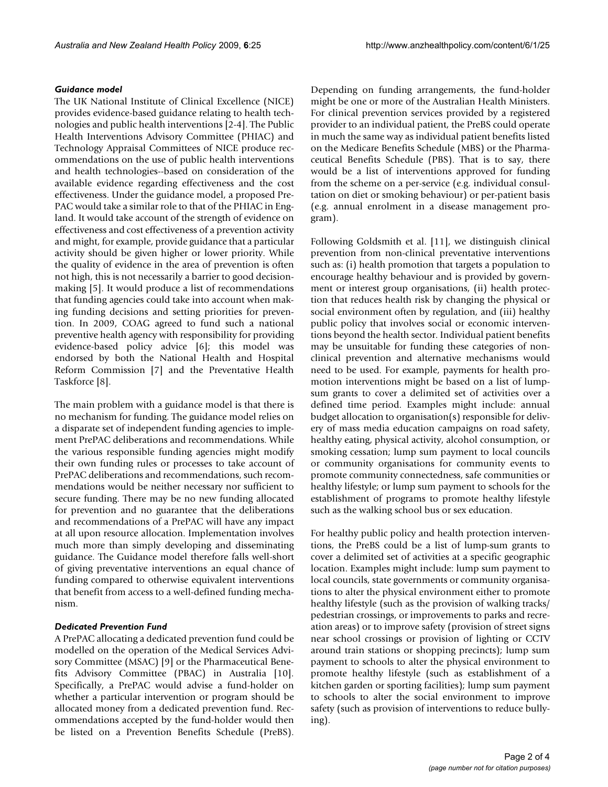#### *Guidance model*

The UK National Institute of Clinical Excellence (NICE) provides evidence-based guidance relating to health technologies and public health interventions [2-4]. The Public Health Interventions Advisory Committee (PHIAC) and Technology Appraisal Committees of NICE produce recommendations on the use of public health interventions and health technologies--based on consideration of the available evidence regarding effectiveness and the cost effectiveness. Under the guidance model, a proposed Pre-PAC would take a similar role to that of the PHIAC in England. It would take account of the strength of evidence on effectiveness and cost effectiveness of a prevention activity and might, for example, provide guidance that a particular activity should be given higher or lower priority. While the quality of evidence in the area of prevention is often not high, this is not necessarily a barrier to good decisionmaking [5]. It would produce a list of recommendations that funding agencies could take into account when making funding decisions and setting priorities for prevention. In 2009, COAG agreed to fund such a national preventive health agency with responsibility for providing evidence-based policy advice [6]; this model was endorsed by both the National Health and Hospital Reform Commission [7] and the Preventative Health Taskforce [8].

The main problem with a guidance model is that there is no mechanism for funding. The guidance model relies on a disparate set of independent funding agencies to implement PrePAC deliberations and recommendations. While the various responsible funding agencies might modify their own funding rules or processes to take account of PrePAC deliberations and recommendations, such recommendations would be neither necessary nor sufficient to secure funding. There may be no new funding allocated for prevention and no guarantee that the deliberations and recommendations of a PrePAC will have any impact at all upon resource allocation. Implementation involves much more than simply developing and disseminating guidance. The Guidance model therefore falls well-short of giving preventative interventions an equal chance of funding compared to otherwise equivalent interventions that benefit from access to a well-defined funding mechanism.

#### *Dedicated Prevention Fund*

A PrePAC allocating a dedicated prevention fund could be modelled on the operation of the Medical Services Advisory Committee (MSAC) [9] or the Pharmaceutical Benefits Advisory Committee (PBAC) in Australia [10]. Specifically, a PrePAC would advise a fund-holder on whether a particular intervention or program should be allocated money from a dedicated prevention fund. Recommendations accepted by the fund-holder would then be listed on a Prevention Benefits Schedule (PreBS).

Depending on funding arrangements, the fund-holder might be one or more of the Australian Health Ministers. For clinical prevention services provided by a registered provider to an individual patient, the PreBS could operate in much the same way as individual patient benefits listed on the Medicare Benefits Schedule (MBS) or the Pharmaceutical Benefits Schedule (PBS). That is to say, there would be a list of interventions approved for funding from the scheme on a per-service (e.g. individual consultation on diet or smoking behaviour) or per-patient basis (e.g. annual enrolment in a disease management program).

Following Goldsmith et al. [11], we distinguish clinical prevention from non-clinical preventative interventions such as: (i) health promotion that targets a population to encourage healthy behaviour and is provided by government or interest group organisations, (ii) health protection that reduces health risk by changing the physical or social environment often by regulation, and (iii) healthy public policy that involves social or economic interventions beyond the health sector. Individual patient benefits may be unsuitable for funding these categories of nonclinical prevention and alternative mechanisms would need to be used. For example, payments for health promotion interventions might be based on a list of lumpsum grants to cover a delimited set of activities over a defined time period. Examples might include: annual budget allocation to organisation(s) responsible for delivery of mass media education campaigns on road safety, healthy eating, physical activity, alcohol consumption, or smoking cessation; lump sum payment to local councils or community organisations for community events to promote community connectedness, safe communities or healthy lifestyle; or lump sum payment to schools for the establishment of programs to promote healthy lifestyle such as the walking school bus or sex education.

For healthy public policy and health protection interventions, the PreBS could be a list of lump-sum grants to cover a delimited set of activities at a specific geographic location. Examples might include: lump sum payment to local councils, state governments or community organisations to alter the physical environment either to promote healthy lifestyle (such as the provision of walking tracks/ pedestrian crossings, or improvements to parks and recreation areas) or to improve safety (provision of street signs near school crossings or provision of lighting or CCTV around train stations or shopping precincts); lump sum payment to schools to alter the physical environment to promote healthy lifestyle (such as establishment of a kitchen garden or sporting facilities); lump sum payment to schools to alter the social environment to improve safety (such as provision of interventions to reduce bullying).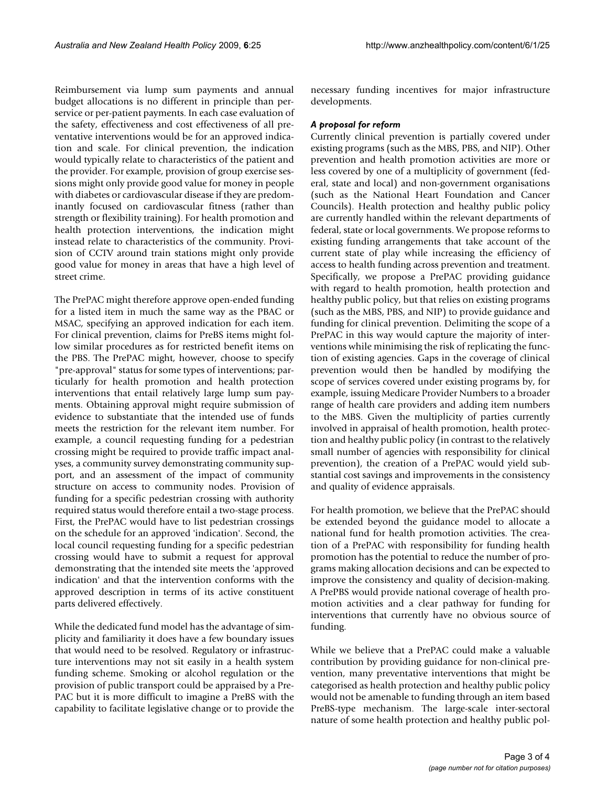Reimbursement via lump sum payments and annual budget allocations is no different in principle than perservice or per-patient payments. In each case evaluation of the safety, effectiveness and cost effectiveness of all preventative interventions would be for an approved indication and scale. For clinical prevention, the indication would typically relate to characteristics of the patient and the provider. For example, provision of group exercise sessions might only provide good value for money in people with diabetes or cardiovascular disease if they are predominantly focused on cardiovascular fitness (rather than strength or flexibility training). For health promotion and health protection interventions, the indication might instead relate to characteristics of the community. Provision of CCTV around train stations might only provide good value for money in areas that have a high level of street crime.

The PrePAC might therefore approve open-ended funding for a listed item in much the same way as the PBAC or MSAC, specifying an approved indication for each item. For clinical prevention, claims for PreBS items might follow similar procedures as for restricted benefit items on the PBS. The PrePAC might, however, choose to specify "pre-approval" status for some types of interventions; particularly for health promotion and health protection interventions that entail relatively large lump sum payments. Obtaining approval might require submission of evidence to substantiate that the intended use of funds meets the restriction for the relevant item number. For example, a council requesting funding for a pedestrian crossing might be required to provide traffic impact analyses, a community survey demonstrating community support, and an assessment of the impact of community structure on access to community nodes. Provision of funding for a specific pedestrian crossing with authority required status would therefore entail a two-stage process. First, the PrePAC would have to list pedestrian crossings on the schedule for an approved 'indication'. Second, the local council requesting funding for a specific pedestrian crossing would have to submit a request for approval demonstrating that the intended site meets the 'approved indication' and that the intervention conforms with the approved description in terms of its active constituent parts delivered effectively.

While the dedicated fund model has the advantage of simplicity and familiarity it does have a few boundary issues that would need to be resolved. Regulatory or infrastructure interventions may not sit easily in a health system funding scheme. Smoking or alcohol regulation or the provision of public transport could be appraised by a Pre-PAC but it is more difficult to imagine a PreBS with the capability to facilitate legislative change or to provide the necessary funding incentives for major infrastructure developments.

#### *A proposal for reform*

Currently clinical prevention is partially covered under existing programs (such as the MBS, PBS, and NIP). Other prevention and health promotion activities are more or less covered by one of a multiplicity of government (federal, state and local) and non-government organisations (such as the National Heart Foundation and Cancer Councils). Health protection and healthy public policy are currently handled within the relevant departments of federal, state or local governments. We propose reforms to existing funding arrangements that take account of the current state of play while increasing the efficiency of access to health funding across prevention and treatment. Specifically, we propose a PrePAC providing guidance with regard to health promotion, health protection and healthy public policy, but that relies on existing programs (such as the MBS, PBS, and NIP) to provide guidance and funding for clinical prevention. Delimiting the scope of a PrePAC in this way would capture the majority of interventions while minimising the risk of replicating the function of existing agencies. Gaps in the coverage of clinical prevention would then be handled by modifying the scope of services covered under existing programs by, for example, issuing Medicare Provider Numbers to a broader range of health care providers and adding item numbers to the MBS. Given the multiplicity of parties currently involved in appraisal of health promotion, health protection and healthy public policy (in contrast to the relatively small number of agencies with responsibility for clinical prevention), the creation of a PrePAC would yield substantial cost savings and improvements in the consistency and quality of evidence appraisals.

For health promotion, we believe that the PrePAC should be extended beyond the guidance model to allocate a national fund for health promotion activities. The creation of a PrePAC with responsibility for funding health promotion has the potential to reduce the number of programs making allocation decisions and can be expected to improve the consistency and quality of decision-making. A PrePBS would provide national coverage of health promotion activities and a clear pathway for funding for interventions that currently have no obvious source of funding.

While we believe that a PrePAC could make a valuable contribution by providing guidance for non-clinical prevention, many preventative interventions that might be categorised as health protection and healthy public policy would not be amenable to funding through an item based PreBS-type mechanism. The large-scale inter-sectoral nature of some health protection and healthy public pol-